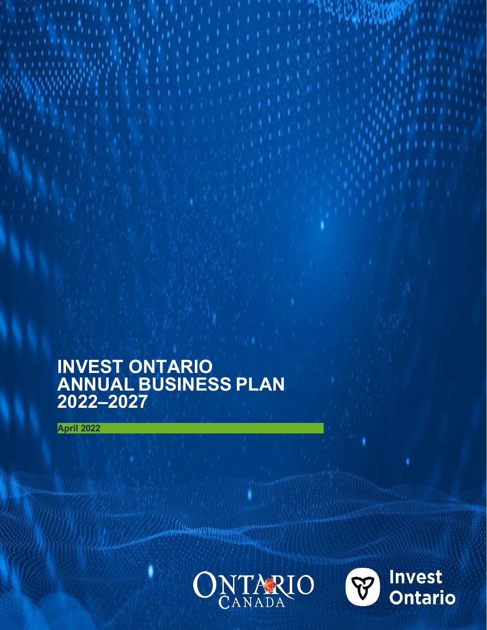## **INVEST ONTARIO ANNUAL BUSINESS PLAN 2022–2027**

**April 2022**



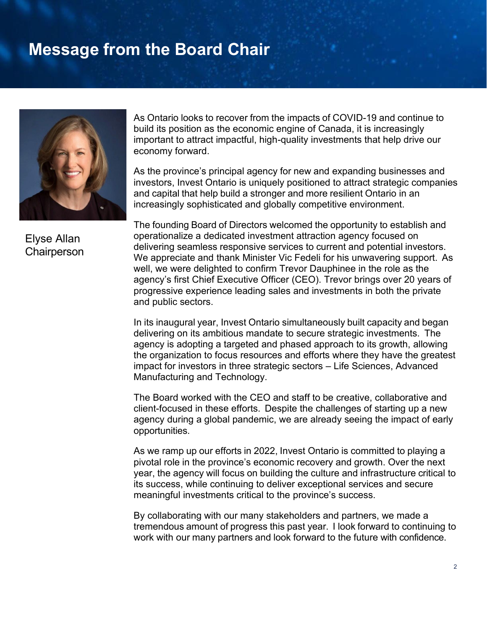## **Message from the Board Chair**



Elyse Allan **Chairperson** 

As Ontario looks to recover from the impacts of COVID-19 and continue to build its position as the economic engine of Canada, it is increasingly important to attract impactful, high-quality investments that help drive our economy forward.

As the province's principal agency for new and expanding businesses and investors, Invest Ontario is uniquely positioned to attract strategic companies and capital that help build a stronger and more resilient Ontario in an increasingly sophisticated and globally competitive environment.

The founding Board of Directors welcomed the opportunity to establish and operationalize a dedicated investment attraction agency focused on delivering seamless responsive services to current and potential investors. We appreciate and thank Minister Vic Fedeli for his unwavering support. As well, we were delighted to confirm Trevor Dauphinee in the role as the agency's first Chief Executive Officer (CEO). Trevor brings over 20 years of progressive experience leading sales and investments in both the private and public sectors.

In its inaugural year, Invest Ontario simultaneously built capacity and began delivering on its ambitious mandate to secure strategic investments. The agency is adopting a targeted and phased approach to its growth, allowing the organization to focus resources and efforts where they have the greatest impact for investors in three strategic sectors – Life Sciences, Advanced Manufacturing and Technology.

The Board worked with the CEO and staff to be creative, collaborative and client-focused in these efforts. Despite the challenges of starting up a new agency during a global pandemic, we are already seeing the impact of early opportunities.

As we ramp up our efforts in 2022, Invest Ontario is committed to playing a pivotal role in the province's economic recovery and growth. Over the next year, the agency will focus on building the culture and infrastructure critical to its success, while continuing to deliver exceptional services and secure meaningful investments critical to the province's success.

By collaborating with our many stakeholders and partners, we made a tremendous amount of progress this past year. I look forward to continuing to work with our many partners and look forward to the future with confidence.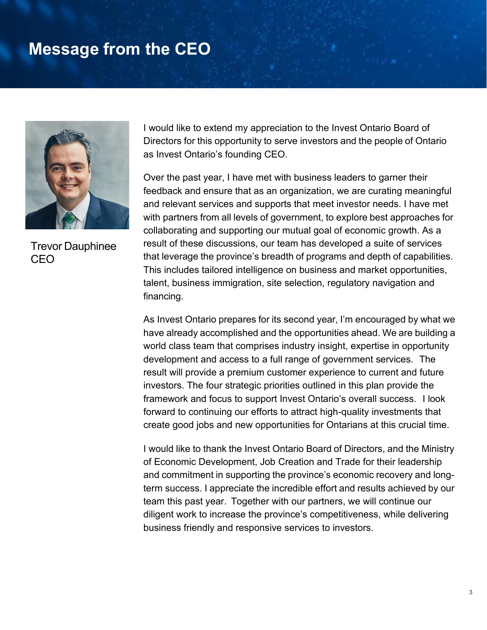### **Message from the CEO**



Trevor Dauphinee **CEO** 

I would like to extend my appreciation to the Invest Ontario Board of Directors for this opportunity to serve investors and the people of Ontario as Invest Ontario's founding CEO.

Over the past year, I have met with business leaders to garner their feedback and ensure that as an organization, we are curating meaningful and relevant services and supports that meet investor needs. I have met with partners from all levels of government, to explore best approaches for collaborating and supporting our mutual goal of economic growth. As a result of these discussions, our team has developed a suite of services that leverage the province's breadth of programs and depth of capabilities. This includes tailored intelligence on business and market opportunities, talent, business immigration, site selection, regulatory navigation and financing.

As Invest Ontario prepares for its second year, I'm encouraged by what we have already accomplished and the opportunities ahead. We are building a world class team that comprises industry insight, expertise in opportunity development and access to a full range of government services. The result will provide a premium customer experience to current and future investors. The four strategic priorities outlined in this plan provide the framework and focus to support Invest Ontario's overall success. I look forward to continuing our efforts to attract high-quality investments that create good jobs and new opportunities for Ontarians at this crucial time.

I would like to thank the Invest Ontario Board of Directors, and the Ministry of Economic Development, Job Creation and Trade for their leadership and commitment in supporting the province's economic recovery and longterm success. I appreciate the incredible effort and results achieved by our team this past year. Together with our partners, we will continue our diligent work to increase the province's competitiveness, while delivering business friendly and responsive services to investors.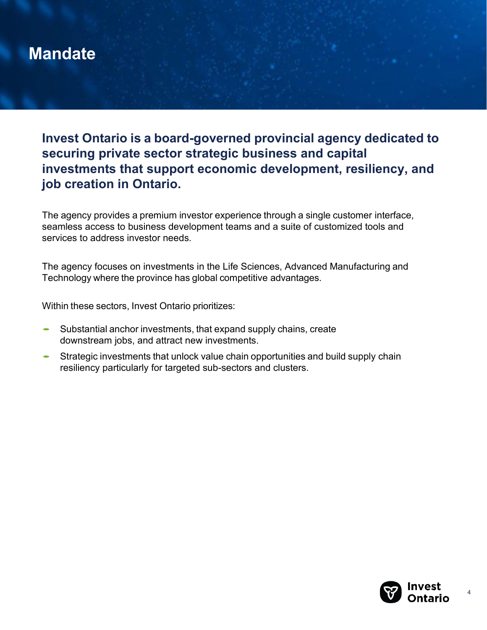## **Mandate**

**Invest Ontario is a board-governed provincial agency dedicated to securing private sector strategic business and capital investments that support economic development, resiliency, and job creation in Ontario.**

The agency provides a premium investor experience through a single customer interface, seamless access to business development teams and a suite of customized tools and services to address investor needs.

The agency focuses on investments in the Life Sciences, Advanced Manufacturing and Technology where the province has global competitive advantages.

Within these sectors, Invest Ontario prioritizes:

- Substantial anchor investments, that expand supply chains, create downstream jobs, and attract new investments.
- Strategic investments that unlock value chain opportunities and build supply chain resiliency particularly for targeted sub-sectors and clusters.

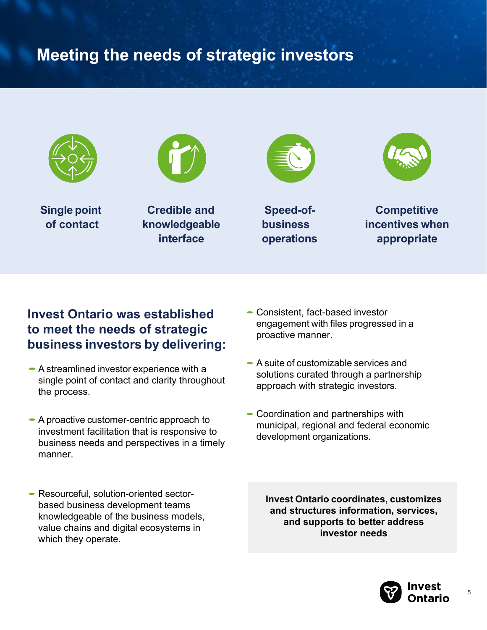## **Meeting the needs of strategic investors**



**Single point of contact**



**Credible and knowledgeable interface**



**Speed-ofbusiness operations**



**Competitive incentives when appropriate**

#### **Invest Ontario was established to meet the needs of strategic business investors by delivering:**

- A streamlined investor experience with a single point of contact and clarity throughout the process.
- A proactive customer-centric approach to investment facilitation that is responsive to business needs and perspectives in a timely manner.
- Resourceful, solution-oriented sectorbased business development teams knowledgeable of the business models, value chains and digital ecosystems in which they operate.
- Consistent, fact-based investor engagement with files progressed in a proactive manner.
- A suite of customizable services and solutions curated through a partnership approach with strategic investors.
- Coordination and partnerships with municipal, regional and federal economic development organizations.

**Invest Ontario coordinates, customizes and structures information, services, and supports to better address investor needs** 

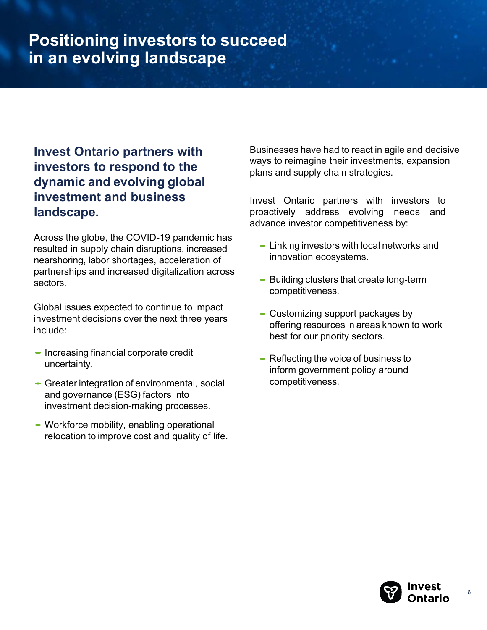## **Positioning investors to succeed in an evolving landscape**

### **Invest Ontario partners with investors to respond to the dynamic and evolving global investment and business landscape.**

Across the globe, the COVID-19 pandemic has resulted in supply chain disruptions, increased nearshoring, labor shortages, acceleration of partnerships and increased digitalization across sectors.

Global issues expected to continue to impact investment decisions over the next three years include:

- Increasing financial corporate credit uncertainty.
- Greater integration of environmental, social and governance (ESG) factors into investment decision-making processes.
- Workforce mobility, enabling operational relocation to improve cost and quality of life.

Businesses have had to react in agile and decisive ways to reimagine their investments, expansion plans and supply chain strategies.

Invest Ontario partners with investors to proactively address evolving needs and advance investor competitiveness by:

- Linking investors with local networks and innovation ecosystems.
- Building clusters that create long-term competitiveness.
- Customizing support packages by offering resources in areas known to work best for our priority sectors.
- Reflecting the voice of business to inform government policy around competitiveness.

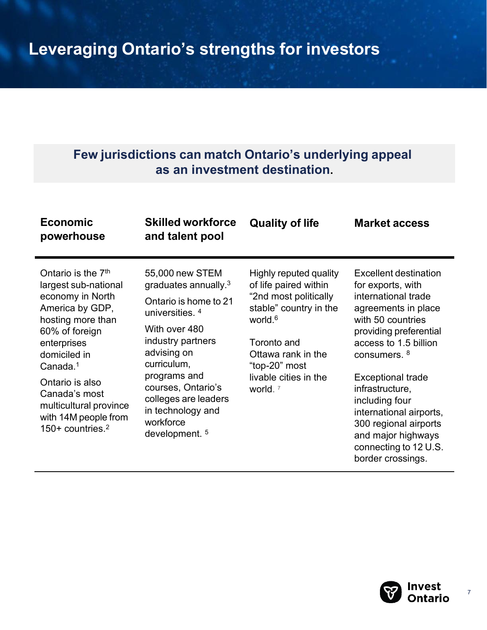### **Few jurisdictions can match Ontario's underlying appeal as an investment destination.**

| <b>Economic</b><br>powerhouse                                                                                                                                                                                                                                                         | <b>Skilled workforce</b><br>and talent pool                                                                                                                                                                                                                                                        | <b>Quality of life</b>                                                                                                                                                                                                          | <b>Market access</b>                                                                                                                                                                                                                                                                                                                                                                        |
|---------------------------------------------------------------------------------------------------------------------------------------------------------------------------------------------------------------------------------------------------------------------------------------|----------------------------------------------------------------------------------------------------------------------------------------------------------------------------------------------------------------------------------------------------------------------------------------------------|---------------------------------------------------------------------------------------------------------------------------------------------------------------------------------------------------------------------------------|---------------------------------------------------------------------------------------------------------------------------------------------------------------------------------------------------------------------------------------------------------------------------------------------------------------------------------------------------------------------------------------------|
| Ontario is the $7th$<br>largest sub-national<br>economy in North<br>America by GDP,<br>hosting more than<br>60% of foreign<br>enterprises<br>domiciled in<br>Canada. $1$<br>Ontario is also<br>Canada's most<br>multicultural province<br>with 14M people from<br>150+ countries. $2$ | 55,000 new STEM<br>graduates annually. $3$<br>Ontario is home to 21<br>universities. <sup>4</sup><br>With over 480<br>industry partners<br>advising on<br>curriculum,<br>programs and<br>courses, Ontario's<br>colleges are leaders<br>in technology and<br>workforce<br>development. <sup>5</sup> | Highly reputed quality<br>of life paired within<br>"2nd most politically<br>stable" country in the<br>world. <sup>6</sup><br>Toronto and<br>Ottawa rank in the<br>"top-20" most<br>livable cities in the<br>world. <sup>7</sup> | <b>Excellent destination</b><br>for exports, with<br>international trade<br>agreements in place<br>with 50 countries<br>providing preferential<br>access to 1.5 billion<br>consumers. <sup>8</sup><br><b>Exceptional trade</b><br>infrastructure,<br>including four<br>international airports,<br>300 regional airports<br>and major highways<br>connecting to 12 U.S.<br>border crossings. |

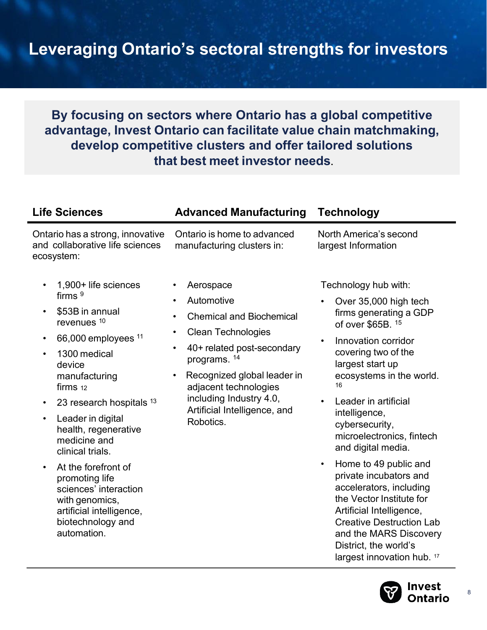## **Leveraging Ontario's sectoral strengths for investors**

### **By focusing on sectors where Ontario has a global competitive advantage, Invest Ontario can facilitate value chain matchmaking, develop competitive clusters and offer tailored solutions that best meet investor needs**.

| <b>Life Sciences</b>                                                                                                                                                                                                                                                                                                                                                                                                                                                                                    | <b>Advanced Manufacturing</b>                                                                                                                                                                                                                                                                                                                          | <b>Technology</b>                                                                                                                                                                                                                                                                                                                                                                                                                                                                                    |
|---------------------------------------------------------------------------------------------------------------------------------------------------------------------------------------------------------------------------------------------------------------------------------------------------------------------------------------------------------------------------------------------------------------------------------------------------------------------------------------------------------|--------------------------------------------------------------------------------------------------------------------------------------------------------------------------------------------------------------------------------------------------------------------------------------------------------------------------------------------------------|------------------------------------------------------------------------------------------------------------------------------------------------------------------------------------------------------------------------------------------------------------------------------------------------------------------------------------------------------------------------------------------------------------------------------------------------------------------------------------------------------|
| Ontario has a strong, innovative<br>and collaborative life sciences<br>ecosystem:                                                                                                                                                                                                                                                                                                                                                                                                                       | Ontario is home to advanced<br>manufacturing clusters in:                                                                                                                                                                                                                                                                                              | North America's second<br>largest Information                                                                                                                                                                                                                                                                                                                                                                                                                                                        |
| 1,900+ life sciences<br>firms $9$<br>\$53B in annual<br>$\bullet$<br>revenues <sup>10</sup><br>66,000 employees <sup>11</sup><br>$\bullet$<br>1300 medical<br>$\bullet$<br>device<br>manufacturing<br>firms 12<br>23 research hospitals 13<br>$\bullet$<br>Leader in digital<br>$\bullet$<br>health, regenerative<br>medicine and<br>clinical trials.<br>At the forefront of<br>$\bullet$<br>promoting life<br>sciences' interaction<br>with genomics,<br>artificial intelligence,<br>biotechnology and | Aerospace<br>$\bullet$<br>Automotive<br>٠<br><b>Chemical and Biochemical</b><br>$\bullet$<br><b>Clean Technologies</b><br>$\bullet$<br>40+ related post-secondary<br>$\bullet$<br>programs. <sup>14</sup><br>Recognized global leader in<br>$\bullet$<br>adjacent technologies<br>including Industry 4.0,<br>Artificial Intelligence, and<br>Robotics. | Technology hub with:<br>Over 35,000 high tech<br>firms generating a GDP<br>of over \$65B. 15<br>Innovation corridor<br>covering two of the<br>largest start up<br>ecosystems in the world.<br>16<br>Leader in artificial<br>intelligence,<br>cybersecurity,<br>microelectronics, fintech<br>and digital media.<br>Home to 49 public and<br>$\bullet$<br>private incubators and<br>accelerators, including<br>the Vector Institute for<br>Artificial Intelligence,<br><b>Creative Destruction Lab</b> |

biotechnology and automation.

> District, the world's largest innovation hub. 17

and the MARS Discovery

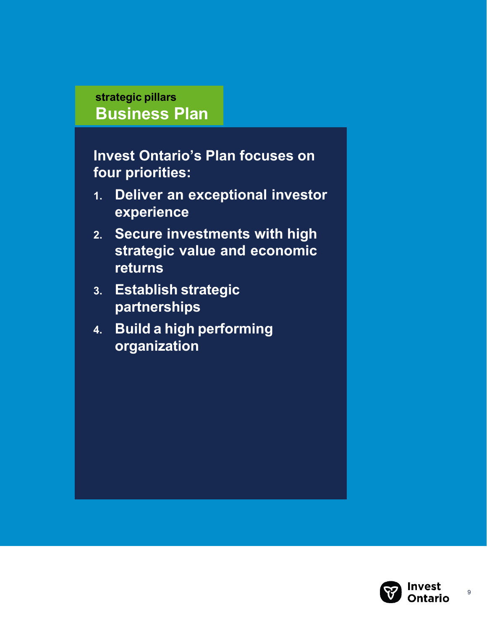### **strategic pillars Business Plan**

**Invest Ontario's Plan focuses on four priorities:**

- **1. Deliver an exceptional investor experience**
- **2. Secure investments with high strategic value and economic returns**
- **3. Establish strategic partnerships**
- **4. Build a high performing organization**

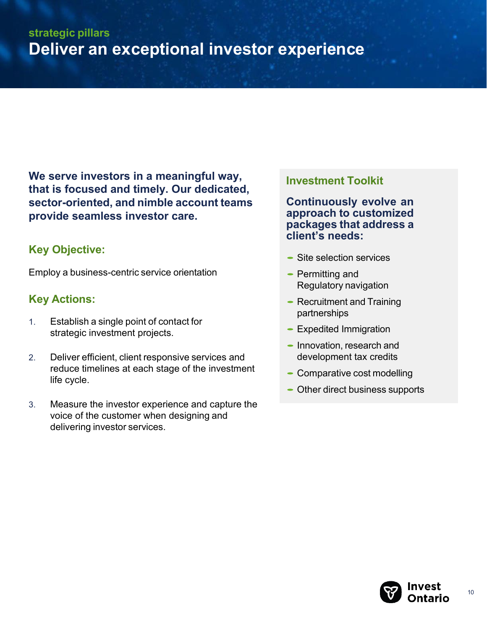**We serve investors in a meaningful way, that is focused and timely. Our dedicated, sector-oriented, and nimble account teams provide seamless investor care.**

#### **Key Objective:**

Employ a business-centric service orientation

#### **Key Actions:**

- 1. Establish a single point of contact for strategic investment projects.
- 2. Deliver efficient, client responsive services and reduce timelines at each stage of the investment life cycle.
- 3. Measure the investor experience and capture the voice of the customer when designing and delivering investor services.

#### **Investment Toolkit**

**Continuously evolve an approach to customized packages that address a client's needs:**

- Site selection services
- Permitting and Regulatory navigation
- Recruitment and Training partnerships
- Expedited Immigration
- Innovation, research and development tax credits
- Comparative cost modelling
- Other direct business supports

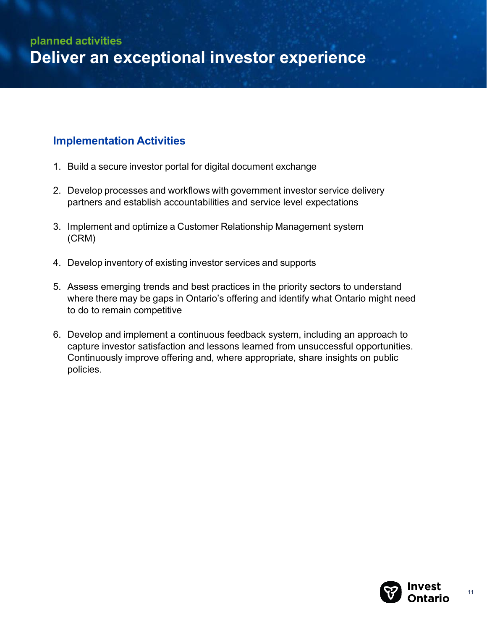#### **Implementation Activities**

- 1. Build a secure investor portal for digital document exchange
- 2. Develop processes and workflows with government investor service delivery partners and establish accountabilities and service level expectations
- 3. Implement and optimize a Customer Relationship Management system (CRM)
- 4. Develop inventory of existing investor services and supports
- 5. Assess emerging trends and best practices in the priority sectors to understand where there may be gaps in Ontario's offering and identify what Ontario might need to do to remain competitive
- 6. Develop and implement a continuous feedback system, including an approach to capture investor satisfaction and lessons learned from unsuccessful opportunities. Continuously improve offering and, where appropriate, share insights on public policies.

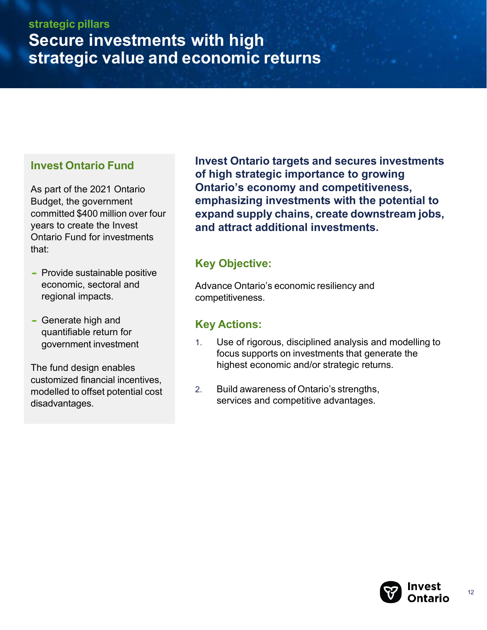#### **Invest Ontario Fund**

As part of the 2021 Ontario Budget, the government committed \$400 million over four years to create the Invest Ontario Fund for investments that:

- Provide sustainable positive economic, sectoral and regional impacts.
- Generate high and quantifiable return for government investment

The fund design enables customized financial incentives, modelled to offset potential cost disadvantages.

**Invest Ontario targets and secures investments of high strategic importance to growing Ontario's economy and competitiveness, emphasizing investments with the potential to expand supply chains, create downstream jobs, and attract additional investments.**

#### **Key Objective:**

Advance Ontario's economic resiliency and competitiveness.

#### **Key Actions:**

- 1. Use of rigorous, disciplined analysis and modelling to focus supports on investments that generate the highest economic and/or strategic returns.
- 2. Build awareness of Ontario's strengths, services and competitive advantages.

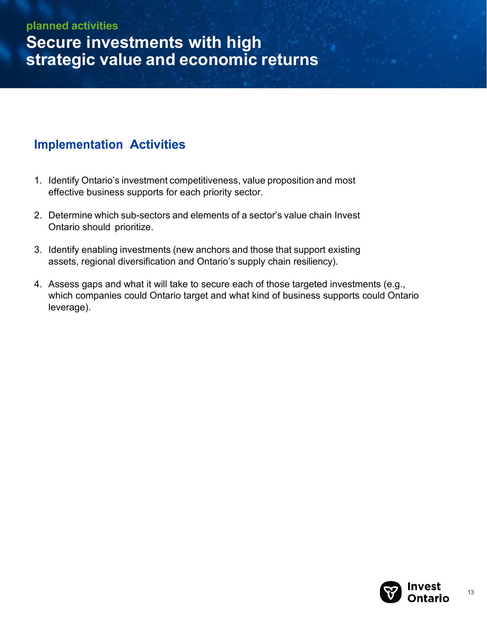#### **planned activities**

**Secure investments with high strategic value and economic returns**

#### **Implementation Activities**

- 1. Identify Ontario's investment competitiveness, value proposition and most effective business supports for each priority sector.
- 2. Determine which sub-sectors and elements of a sector's value chain Invest Ontario should prioritize.
- 3. Identify enabling investments (new anchors and those that support existing assets, regional diversification and Ontario's supply chain resiliency).
- 4. Assess gaps and what it will take to secure each of those targeted investments (e.g., which companies could Ontario target and what kind of business supports could Ontario leverage).

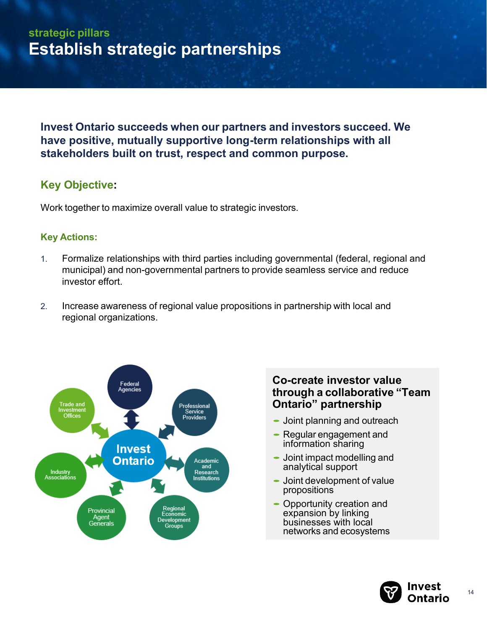### **strategic pillars Establish strategic partnerships**

**Invest Ontario succeeds when our partners and investors succeed. We have positive, mutually supportive long-term relationships with all stakeholders built on trust, respect and common purpose.**

#### **Key Objective:**

Work together to maximize overall value to strategic investors.

#### **Key Actions:**

- 1. Formalize relationships with third parties including governmental (federal, regional and municipal) and non-governmental partners to provide seamless service and reduce investor effort.
- 2. Increase awareness of regional value propositions in partnership with local and regional organizations.



#### **Co-create investor value through a collaborative "Team Ontario" partnership**

- Joint planning and outreach
- Joint planning and outread<br>• Regular engagement and<br>information obering information sharing
- Information sharing<br>
 Joint impact modelling and<br>
conclutional support analytical support
- Joint development of value propositions
- Opportunity creation and expansion by linking businesses with local networks and ecosystems

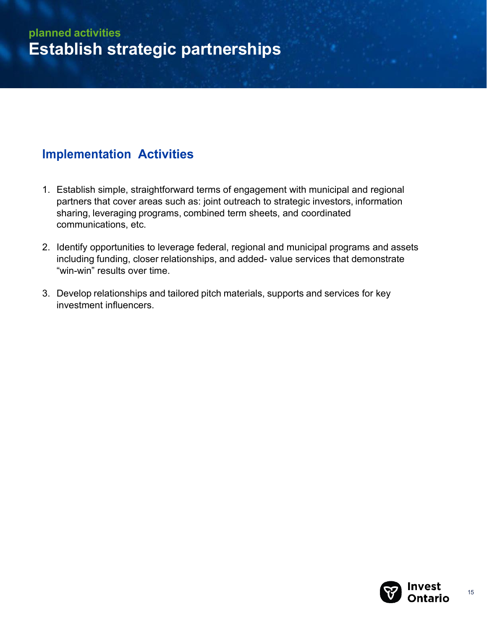### **Implementation Activities**

- 1. Establish simple, straightforward terms of engagement with municipal and regional partners that cover areas such as: joint outreach to strategic investors, information sharing, leveraging programs, combined term sheets, and coordinated communications, etc.
- 2. Identify opportunities to leverage federal, regional and municipal programs and assets including funding, closer relationships, and added- value services that demonstrate "win-win" results over time.
- 3. Develop relationships and tailored pitch materials, supports and services for key investment influencers.

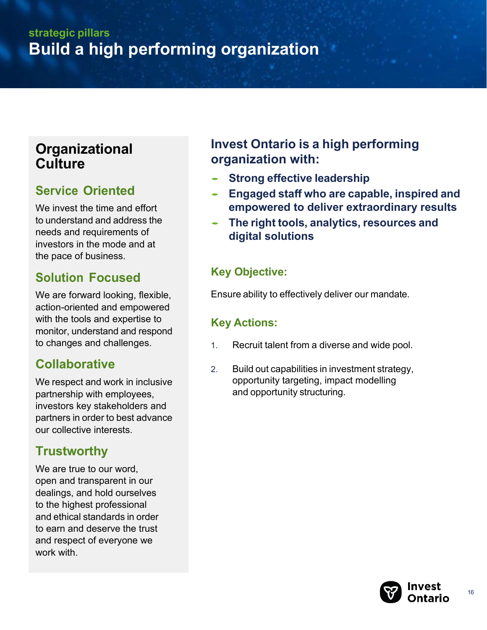### **strategic pillars Build a high performing organization**

### **Organizational Culture**

### **Service Oriented**

We invest the time and effort to understand and address the needs and requirements of investors in the mode and at the pace of business.

### **Solution Focused**

We are forward looking, flexible, action-oriented and empowered with the tools and expertise to monitor, understand and respond to changes and challenges.

### **Collaborative**

We respect and work in inclusive partnership with employees, investors key stakeholders and partners in order to best advance our collective interests.

### **Trustworthy**

We are true to our word, open and transparent in our dealings, and hold ourselves to the highest professional and ethical standards in order to earn and deserve the trust and respect of everyone we work with.

### **Invest Ontario is a high performing organization with:**

- **Strong effective leadership**
- **Engaged staff who are capable, inspired and empowered to deliver extraordinary results**
- **The right tools, analytics, resources and digital solutions**

### **Key Objective:**

Ensure ability to effectively deliver our mandate.

#### **Key Actions:**

- 1. Recruit talent from a diverse and wide pool.
- 2. Build out capabilities in investment strategy, opportunity targeting, impact modelling and opportunity structuring.

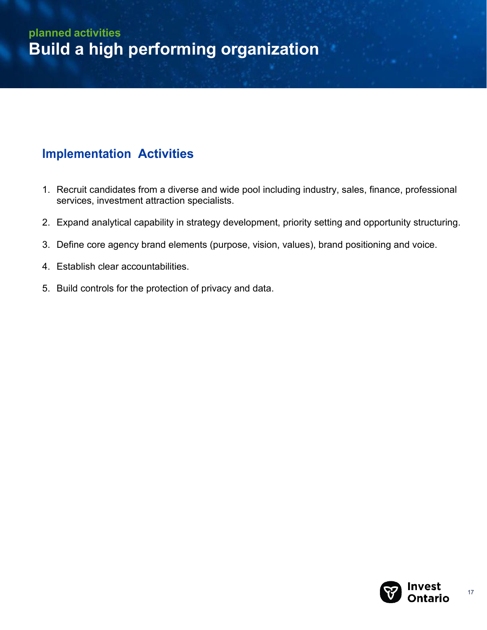### **Implementation Activities**

- 1. Recruit candidates from a diverse and wide pool including industry, sales, finance, professional services, investment attraction specialists.
- 2. Expand analytical capability in strategy development, priority setting and opportunity structuring.
- 3. Define core agency brand elements (purpose, vision, values), brand positioning and voice.
- 4. Establish clear accountabilities.
- 5. Build controls for the protection of privacy and data.

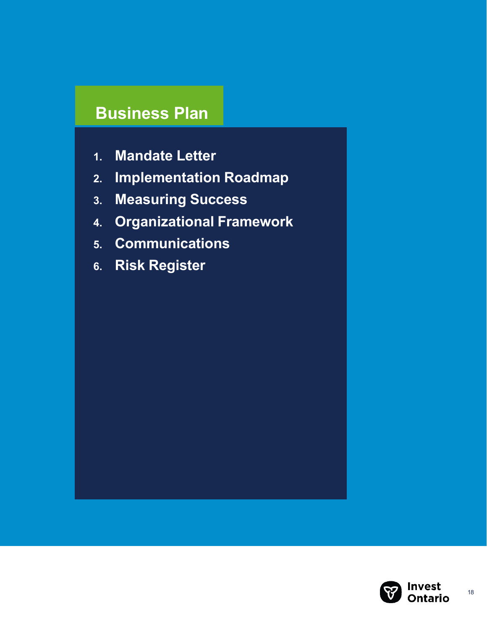## **Business Plan**

- **1. Mandate Letter**
- **2. Implementation Roadmap**
- **3. Measuring Success**
- **4. Organizational Framework**
- **5. Communications**
- **6. Risk Register**

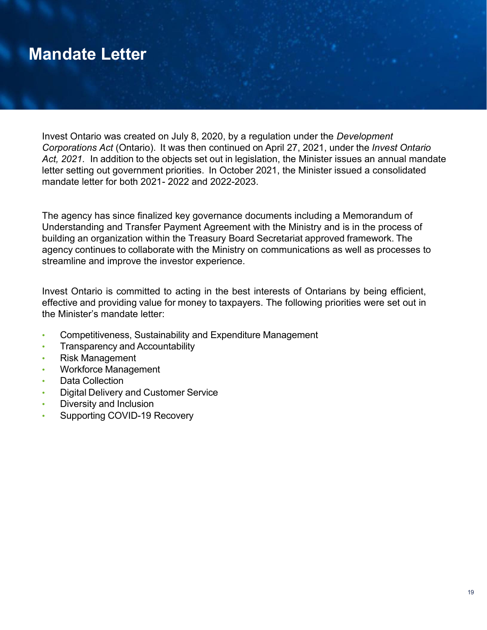## **Mandate Letter**

Invest Ontario was created on July 8, 2020, by a regulation under the *Development Corporations Act* (Ontario). It was then continued on April 27, 2021, under the *Invest Ontario Act, 2021*. In addition to the objects set out in legislation, the Minister issues an annual mandate letter setting out government priorities. In October 2021, the Minister issued a consolidated mandate letter for both 2021- 2022 and 2022-2023.

The agency has since finalized key governance documents including a Memorandum of Understanding and Transfer Payment Agreement with the Ministry and is in the process of building an organization within the Treasury Board Secretariat approved framework. The agency continues to collaborate with the Ministry on communications as well as processes to streamline and improve the investor experience.

Invest Ontario is committed to acting in the best interests of Ontarians by being efficient, effective and providing value for money to taxpayers. The following priorities were set out in the Minister's mandate letter:

- Competitiveness, Sustainability and Expenditure Management
- Transparency and Accountability
- Risk Management
- Workforce Management
- Data Collection
- Digital Delivery and Customer Service
- Diversity and Inclusion
- Supporting COVID-19 Recovery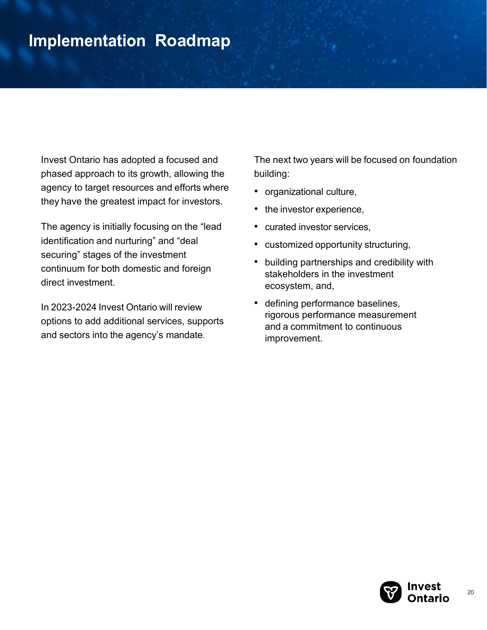## **Implementation Roadmap**

Invest Ontario has adopted a focused and phased approach to its growth, allowing the agency to target resources and efforts where they have the greatest impact for investors.

The agency is initially focusing on the "lead identification and nurturing" and "deal securing" stages of the investment continuum for both domestic and foreign direct investment.

In 2023-2024 Invest Ontario will review options to add additional services, supports and sectors into the agency's mandate.

The next two years will be focused on foundation building:

- organizational culture,
- the investor experience,
- curated investor services,
- customized opportunity structuring,
- building partnerships and credibility with stakeholders in the investment ecosystem, and,
- defining performance baselines, rigorous performance measurement and a commitment to continuous improvement.

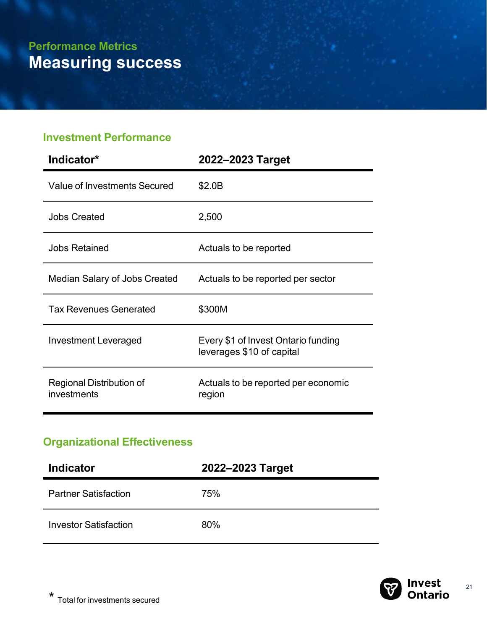#### **Investment Performance**

| Indicator*                              | 2022-2023 Target                                                 |  |
|-----------------------------------------|------------------------------------------------------------------|--|
| Value of Investments Secured            | \$2.0B                                                           |  |
| <b>Jobs Created</b>                     | 2,500                                                            |  |
| <b>Jobs Retained</b>                    | Actuals to be reported                                           |  |
| Median Salary of Jobs Created           | Actuals to be reported per sector                                |  |
| <b>Tax Revenues Generated</b>           | \$300M                                                           |  |
| Investment Leveraged                    | Every \$1 of Invest Ontario funding<br>leverages \$10 of capital |  |
| Regional Distribution of<br>investments | Actuals to be reported per economic<br>region                    |  |

### **Organizational Effectiveness**

| <b>Indicator</b>             | 2022-2023 Target |
|------------------------------|------------------|
| <b>Partner Satisfaction</b>  | 75%              |
| <b>Investor Satisfaction</b> | 80%              |

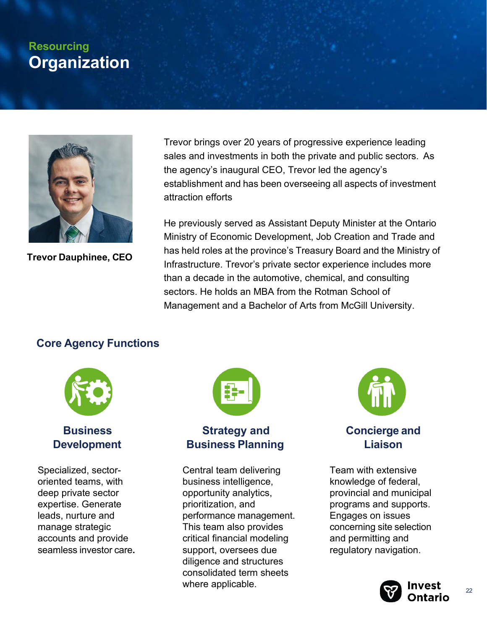### **Resourcing Organization**



**Trevor Dauphinee, CEO** 

Trevor brings over 20 years of progressive experience leading sales and investments in both the private and public sectors. As the agency's inaugural CEO, Trevor led the agency's establishment and has been overseeing all aspects of investment attraction efforts

He previously served as Assistant Deputy Minister at the Ontario Ministry of Economic Development, Job Creation and Trade and has held roles at the province's Treasury Board and the Ministry of Infrastructure. Trevor's private sector experience includes more than a decade in the automotive, chemical, and consulting sectors. He holds an MBA from the Rotman School of Management and a Bachelor of Arts from McGill University.

#### **Core Agency Functions**



#### **Business Development**

Specialized, sectororiented teams, with deep private sector expertise. Generate leads, nurture and manage strategic accounts and provide seamless investor care**.** 



#### **Strategy and Business Planning**

Central team delivering business intelligence, opportunity analytics, prioritization, and performance management. This team also provides critical financial modeling support, oversees due diligence and structures consolidated term sheets where applicable.



**Concierge and Liaison**

Team with extensive knowledge of federal, provincial and municipal programs and supports. Engages on issues concerning site selection and permitting and regulatory navigation.

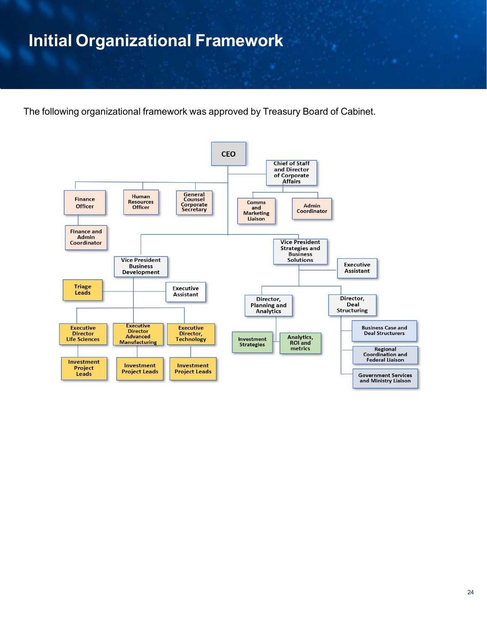## **Initial Organizational Framework**

The following organizational framework was approved by Treasury Board of Cabinet.

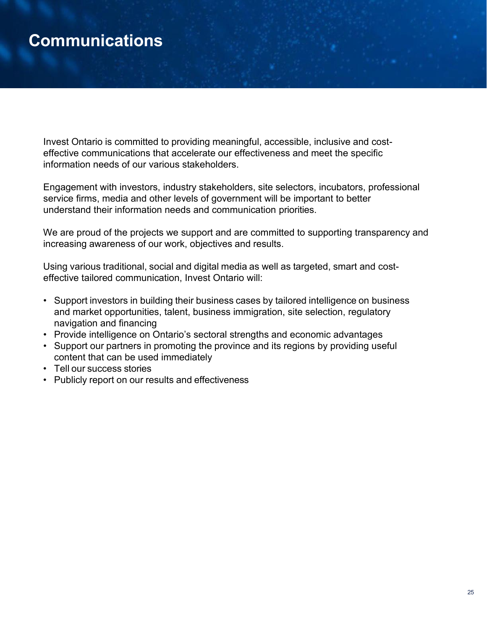## **Communications**

Invest Ontario is committed to providing meaningful, accessible, inclusive and costeffective communications that accelerate our effectiveness and meet the specific information needs of our various stakeholders.

Engagement with investors, industry stakeholders, site selectors, incubators, professional service firms, media and other levels of government will be important to better understand their information needs and communication priorities.

We are proud of the projects we support and are committed to supporting transparency and increasing awareness of our work, objectives and results.

Using various traditional, social and digital media as well as targeted, smart and costeffective tailored communication, Invest Ontario will:

- Support investors in building their business cases by tailored intelligence on business and market opportunities, talent, business immigration, site selection, regulatory navigation and financing
- Provide intelligence on Ontario's sectoral strengths and economic advantages
- Support our partners in promoting the province and its regions by providing useful content that can be used immediately
- Tell our success stories
- Publicly report on our results and effectiveness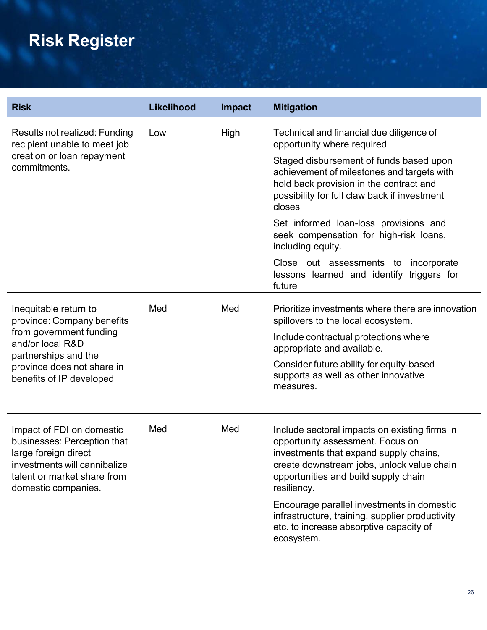# **Risk Register**

| <b>Risk</b>                                                                                                                                                                          | <b>Likelihood</b> | Impact | <b>Mitigation</b>                                                                                                                                                                                                                                                                                                                                                                                                                                                           |
|--------------------------------------------------------------------------------------------------------------------------------------------------------------------------------------|-------------------|--------|-----------------------------------------------------------------------------------------------------------------------------------------------------------------------------------------------------------------------------------------------------------------------------------------------------------------------------------------------------------------------------------------------------------------------------------------------------------------------------|
| Results not realized: Funding<br>recipient unable to meet job<br>creation or loan repayment<br>commitments.                                                                          | Low               | High   | Technical and financial due diligence of<br>opportunity where required<br>Staged disbursement of funds based upon<br>achievement of milestones and targets with<br>hold back provision in the contract and<br>possibility for full claw back if investment<br>closes<br>Set informed loan-loss provisions and<br>seek compensation for high-risk loans,<br>including equity.<br>Close out assessments to incorporate<br>lessons learned and identify triggers for<br>future |
| Inequitable return to<br>province: Company benefits<br>from government funding<br>and/or local R&D<br>partnerships and the<br>province does not share in<br>benefits of IP developed | Med               | Med    | Prioritize investments where there are innovation<br>spillovers to the local ecosystem.<br>Include contractual protections where<br>appropriate and available.<br>Consider future ability for equity-based<br>supports as well as other innovative<br>measures.                                                                                                                                                                                                             |
| Impact of FDI on domestic<br>businesses: Perception that<br>large foreign direct<br>investments will cannibalize<br>talent or market share from<br>domestic companies.               | Med               | Med    | Include sectoral impacts on existing firms in<br>opportunity assessment. Focus on<br>investments that expand supply chains,<br>create downstream jobs, unlock value chain<br>opportunities and build supply chain<br>resiliency.<br>Encourage parallel investments in domestic                                                                                                                                                                                              |
|                                                                                                                                                                                      |                   |        | infrastructure, training, supplier productivity<br>etc. to increase absorptive capacity of<br>ecosystem.                                                                                                                                                                                                                                                                                                                                                                    |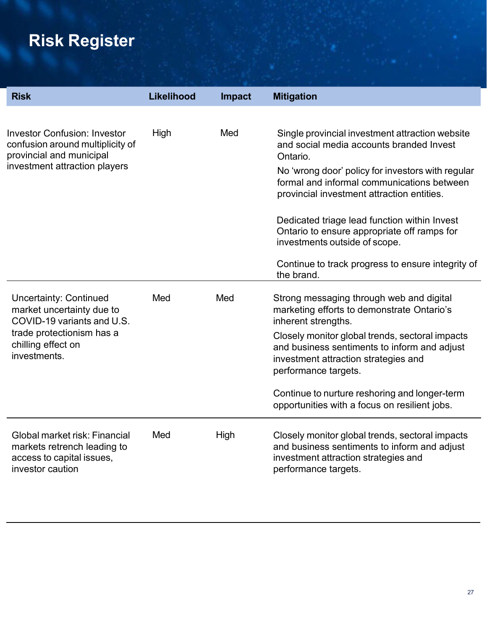# **Risk Register**

| <b>Risk</b>                                                                                                                                                 | Likelihood | <b>Impact</b> | <b>Mitigation</b>                                                                                                                                               |
|-------------------------------------------------------------------------------------------------------------------------------------------------------------|------------|---------------|-----------------------------------------------------------------------------------------------------------------------------------------------------------------|
| <b>Investor Confusion: Investor</b><br>confusion around multiplicity of<br>provincial and municipal                                                         | High       | Med           | Single provincial investment attraction website<br>and social media accounts branded Invest<br>Ontario.                                                         |
| investment attraction players                                                                                                                               |            |               | No 'wrong door' policy for investors with regular<br>formal and informal communications between<br>provincial investment attraction entities.                   |
|                                                                                                                                                             |            |               | Dedicated triage lead function within Invest<br>Ontario to ensure appropriate off ramps for<br>investments outside of scope.                                    |
|                                                                                                                                                             |            |               | Continue to track progress to ensure integrity of<br>the brand.                                                                                                 |
| <b>Uncertainty: Continued</b><br>market uncertainty due to<br>COVID-19 variants and U.S.<br>trade protectionism has a<br>chilling effect on<br>investments. | Med        | Med           | Strong messaging through web and digital<br>marketing efforts to demonstrate Ontario's<br>inherent strengths.                                                   |
|                                                                                                                                                             |            |               | Closely monitor global trends, sectoral impacts<br>and business sentiments to inform and adjust<br>investment attraction strategies and<br>performance targets. |
|                                                                                                                                                             |            |               | Continue to nurture reshoring and longer-term<br>opportunities with a focus on resilient jobs.                                                                  |
| Global market risk: Financial<br>markets retrench leading to<br>access to capital issues,<br>investor caution                                               | Med        | High          | Closely monitor global trends, sectoral impacts<br>and business sentiments to inform and adjust<br>investment attraction strategies and<br>performance targets. |